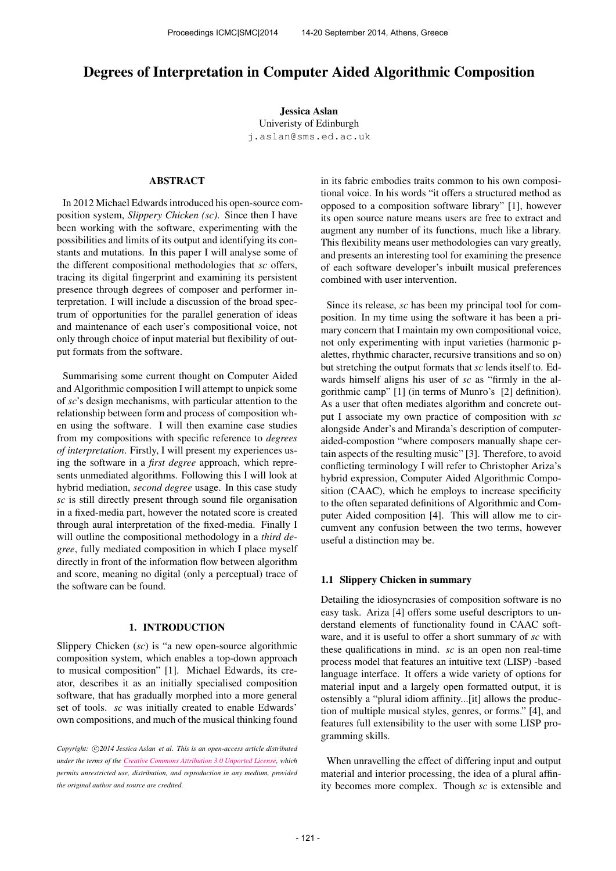# Degrees of Interpretation in Computer Aided Algorithmic Composition

Jessica Aslan Univeristy of Edinburgh [j.aslan@sms.ed.ac.uk](mailto:j.aslan@sms.ed.ac.uk)

# ABSTRACT

In 2012 Michael Edwards introduced his open-source composition system, *Slippery Chicken (sc)*. Since then I have been working with the software, experimenting with the possibilities and limits of its output and identifying its constants and mutations. In this paper I will analyse some of the different compositional methodologies that *sc* offers, tracing its digital fingerprint and examining its persistent presence through degrees of composer and performer interpretation. I will include a discussion of the broad spectrum of opportunities for the parallel generation of ideas and maintenance of each user's compositional voice, not only through choice of input material but flexibility of output formats from the software.

Summarising some current thought on Computer Aided and Algorithmic composition I will attempt to unpick some of *sc*'s design mechanisms, with particular attention to the relationship between form and process of composition when using the software. I will then examine case studies from my compositions with specific reference to *degrees of interpretation*. Firstly, I will present my experiences using the software in a *first degree* approach, which represents unmediated algorithms. Following this I will look at hybrid mediation, *second degree* usage. In this case study *sc* is still directly present through sound file organisation in a fixed-media part, however the notated score is created through aural interpretation of the fixed-media. Finally I will outline the compositional methodology in a *third degree*, fully mediated composition in which I place myself directly in front of the information flow between algorithm and score, meaning no digital (only a perceptual) trace of the software can be found.

## 1. INTRODUCTION

Slippery Chicken (*sc*) is "a new open-source algorithmic composition system, which enables a top-down approach to musical composition" [1]. Michael Edwards, its creator, describes it as an initially specialised composition software, that has gradually morphed into a more general set of tools. *sc* was initially created to enable Edwards' own compositions, and much of the musical thinking found in its fabric embodies traits common to his own compositional voice. In his words "it offers a structured method as opposed to a composition software library" [1], however its open source nature means users are free to extract and augment any number of its functions, much like a library. This flexibility means user methodologies can vary greatly, and presents an interesting tool for examining the presence of each software developer's inbuilt musical preferences combined with user intervention.

Since its release, *sc* has been my principal tool for composition. In my time using the software it has been a primary concern that I maintain my own compositional voice, not only experimenting with input varieties (harmonic palettes, rhythmic character, recursive transitions and so on) but stretching the output formats that *sc* lends itself to. Edwards himself aligns his user of *sc* as "firmly in the algorithmic camp" [1] (in terms of Munro's [2] definition). As a user that often mediates algorithm and concrete output I associate my own practice of composition with *sc* alongside Ander's and Miranda's description of computeraided-compostion "where composers manually shape certain aspects of the resulting music" [3]. Therefore, to avoid conflicting terminology I will refer to Christopher Ariza's hybrid expression, Computer Aided Algorithmic Composition (CAAC), which he employs to increase specificity to the often separated definitions of Algorithmic and Computer Aided composition [4]. This will allow me to circumvent any confusion between the two terms, however useful a distinction may be.

#### 1.1 Slippery Chicken in summary

Detailing the idiosyncrasies of composition software is no easy task. Ariza [4] offers some useful descriptors to understand elements of functionality found in CAAC software, and it is useful to offer a short summary of *sc* with these qualifications in mind. *sc* is an open non real-time process model that features an intuitive text (LISP) -based language interface. It offers a wide variety of options for material input and a largely open formatted output, it is ostensibly a "plural idiom affinity...[it] allows the production of multiple musical styles, genres, or forms." [4], and features full extensibility to the user with some LISP programming skills.

When unravelling the effect of differing input and output material and interior processing, the idea of a plural affinity becomes more complex. Though *sc* is extensible and

Copyright:  $\bigcirc$ 2014 Jessica Aslan et al. This is an open-access article distributed *under the terms of the [Creative Commons Attribution 3.0 Unported License,](http://creativecommons.org/licenses/by/3.0/) which permits unrestricted use, distribution, and reproduction in any medium, provided the original author and source are credited.*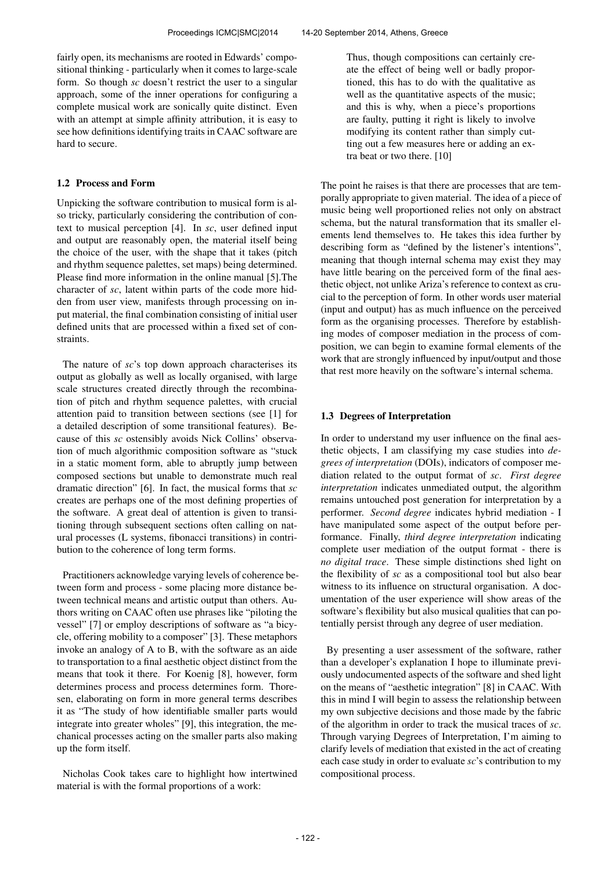fairly open, its mechanisms are rooted in Edwards' compositional thinking - particularly when it comes to large-scale form. So though *sc* doesn't restrict the user to a singular approach, some of the inner operations for configuring a complete musical work are sonically quite distinct. Even with an attempt at simple affinity attribution, it is easy to see how definitions identifying traits in CAAC software are hard to secure.

# 1.2 Process and Form

Unpicking the software contribution to musical form is also tricky, particularly considering the contribution of context to musical perception [4]. In *sc*, user defined input and output are reasonably open, the material itself being the choice of the user, with the shape that it takes (pitch and rhythm sequence palettes, set maps) being determined. Please find more information in the online manual [5].The character of *sc*, latent within parts of the code more hidden from user view, manifests through processing on input material, the final combination consisting of initial user defined units that are processed within a fixed set of constraints.

The nature of *sc*'s top down approach characterises its output as globally as well as locally organised, with large scale structures created directly through the recombination of pitch and rhythm sequence palettes, with crucial attention paid to transition between sections (see [1] for a detailed description of some transitional features). Because of this *sc* ostensibly avoids Nick Collins' observation of much algorithmic composition software as "stuck in a static moment form, able to abruptly jump between composed sections but unable to demonstrate much real dramatic direction" [6]. In fact, the musical forms that *sc* creates are perhaps one of the most defining properties of the software. A great deal of attention is given to transitioning through subsequent sections often calling on natural processes (L systems, fibonacci transitions) in contribution to the coherence of long term forms.

Practitioners acknowledge varying levels of coherence between form and process - some placing more distance between technical means and artistic output than others. Authors writing on CAAC often use phrases like "piloting the vessel" [7] or employ descriptions of software as "a bicycle, offering mobility to a composer" [3]. These metaphors invoke an analogy of A to B, with the software as an aide to transportation to a final aesthetic object distinct from the means that took it there. For Koenig [8], however, form determines process and process determines form. Thoresen, elaborating on form in more general terms describes it as "The study of how identifiable smaller parts would integrate into greater wholes" [9], this integration, the mechanical processes acting on the smaller parts also making up the form itself.

Nicholas Cook takes care to highlight how intertwined material is with the formal proportions of a work:

Thus, though compositions can certainly create the effect of being well or badly proportioned, this has to do with the qualitative as well as the quantitative aspects of the music; and this is why, when a piece's proportions are faulty, putting it right is likely to involve modifying its content rather than simply cutting out a few measures here or adding an extra beat or two there. [10]

The point he raises is that there are processes that are temporally appropriate to given material. The idea of a piece of music being well proportioned relies not only on abstract schema, but the natural transformation that its smaller elements lend themselves to. He takes this idea further by describing form as "defined by the listener's intentions", meaning that though internal schema may exist they may have little bearing on the perceived form of the final aesthetic object, not unlike Ariza's reference to context as crucial to the perception of form. In other words user material (input and output) has as much influence on the perceived form as the organising processes. Therefore by establishing modes of composer mediation in the process of composition, we can begin to examine formal elements of the work that are strongly influenced by input/output and those that rest more heavily on the software's internal schema.

## 1.3 Degrees of Interpretation

In order to understand my user influence on the final aesthetic objects, I am classifying my case studies into *degrees of interpretation* (DOIs), indicators of composer mediation related to the output format of *sc*. *First degree interpretation* indicates unmediated output, the algorithm remains untouched post generation for interpretation by a performer. *Second degree* indicates hybrid mediation - I have manipulated some aspect of the output before performance. Finally, *third degree interpretation* indicating complete user mediation of the output format - there is *no digital trace*. These simple distinctions shed light on the flexibility of *sc* as a compositional tool but also bear witness to its influence on structural organisation. A documentation of the user experience will show areas of the software's flexibility but also musical qualities that can potentially persist through any degree of user mediation.

By presenting a user assessment of the software, rather than a developer's explanation I hope to illuminate previously undocumented aspects of the software and shed light on the means of "aesthetic integration" [8] in CAAC. With this in mind I will begin to assess the relationship between my own subjective decisions and those made by the fabric of the algorithm in order to track the musical traces of *sc*. Through varying Degrees of Interpretation, I'm aiming to clarify levels of mediation that existed in the act of creating each case study in order to evaluate *sc*'s contribution to my compositional process.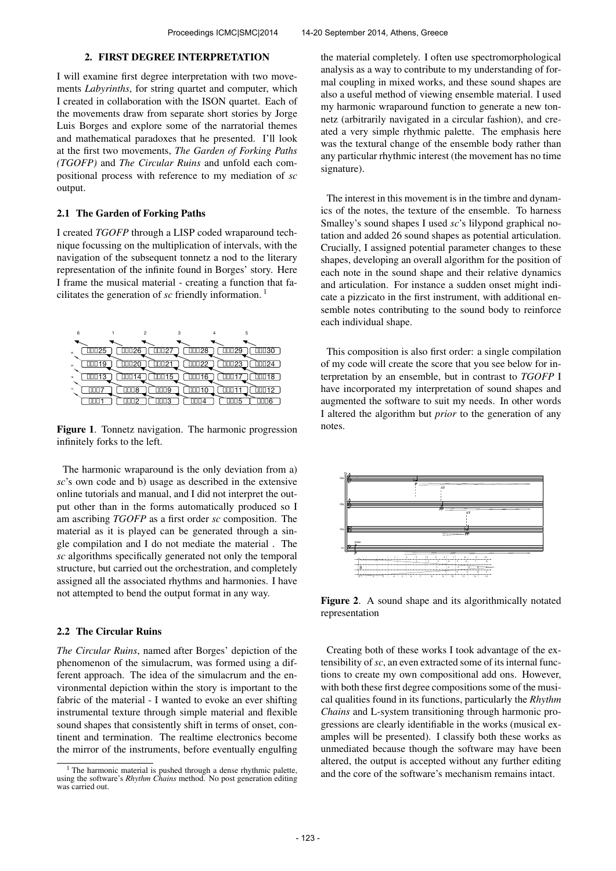#### 2. FIRST DEGREE INTERPRETATION

I will examine first degree interpretation with two movements *Labyrinths*, for string quartet and computer, which I created in collaboration with the ISON quartet. Each of the movements draw from separate short stories by Jorge Luis Borges and explore some of the narratorial themes and mathematical paradoxes that he presented. I'll look at the first two movements, *The Garden of Forking Paths (TGOFP)* and *The Circular Ruins* and unfold each compositional process with reference to my mediation of *sc* output.

#### 2.1 The Garden of Forking Paths

I created *TGOFP* through a LISP coded wraparound technique focussing on the multiplication of intervals, with the navigation of the subsequent tonnetz a nod to the literary representation of the infinite found in Borges' story. Here I frame the musical material - creating a function that facilitates the generation of *sc* friendly information. <sup>1</sup>

| 6  |                              | $\mathfrak{p}$ |                          | 3     | 5     |       |
|----|------------------------------|----------------|--------------------------|-------|-------|-------|
|    |                              |                |                          |       |       |       |
| 30 | $\overline{\mathbb{III}}$ 25 | 0026           | 1002                     | 加028  | 加Ω9   | □□□30 |
|    |                              | ]20            | $\square\square\square2$ | 00022 | 10023 | 124   |
| 24 | g                            |                |                          |       |       |       |
| 18 | 13                           |                | 100 15                   | 6     |       | 18    |
| 12 |                              |                | ∏∐9                      |       |       | 12    |
|    |                              |                |                          |       |       |       |
|    |                              | r              | 1003                     |       | 15    |       |

Figure 1. Tonnetz navigation. The harmonic progression infinitely forks to the left.

The harmonic wraparound is the only deviation from a) *sc*'s own code and b) usage as described in the extensive online tutorials and manual, and I did not interpret the output other than in the forms automatically produced so I am ascribing *TGOFP* as a first order *sc* composition. The material as it is played can be generated through a single compilation and I do not mediate the material . The *sc* algorithms specifically generated not only the temporal structure, but carried out the orchestration, and completely assigned all the associated rhythms and harmonies. I have not attempted to bend the output format in any way.

# 2.2 The Circular Ruins

*The Circular Ruins*, named after Borges' depiction of the phenomenon of the simulacrum, was formed using a different approach. The idea of the simulacrum and the environmental depiction within the story is important to the fabric of the material - I wanted to evoke an ever shifting instrumental texture through simple material and flexible sound shapes that consistently shift in terms of onset, continent and termination. The realtime electronics become the mirror of the instruments, before eventually engulfing the material completely. I often use spectromorphological analysis as a way to contribute to my understanding of formal coupling in mixed works, and these sound shapes are also a useful method of viewing ensemble material. I used my harmonic wraparound function to generate a new tonnetz (arbitrarily navigated in a circular fashion), and created a very simple rhythmic palette. The emphasis here was the textural change of the ensemble body rather than any particular rhythmic interest (the movement has no time signature).

The interest in this movement is in the timbre and dynamics of the notes, the texture of the ensemble. To harness Smalley's sound shapes I used *sc*'s lilypond graphical notation and added 26 sound shapes as potential articulation. Crucially, I assigned potential parameter changes to these shapes, developing an overall algorithm for the position of each note in the sound shape and their relative dynamics and articulation. For instance a sudden onset might indicate a pizzicato in the first instrument, with additional ensemble notes contributing to the sound body to reinforce each individual shape.

This composition is also first order: a single compilation of my code will create the score that you see below for interpretation by an ensemble, but in contrast to *TGOFP* I have incorporated my interpretation of sound shapes and augmented the software to suit my needs. In other words I altered the algorithm but *prior* to the generation of any notes.



Figure 2. A sound shape and its algorithmically notated representation

Creating both of these works I took advantage of the extensibility of*sc*, an even extracted some of its internal functions to create my own compositional add ons. However, with both these first degree compositions some of the musical qualities found in its functions, particularly the *Rhythm Chains* and L-system transitioning through harmonic progressions are clearly identifiable in the works (musical examples will be presented). I classify both these works as unmediated because though the software may have been altered, the output is accepted without any further editing and the core of the software's mechanism remains intact.

<sup>&</sup>lt;sup>1</sup> The harmonic material is pushed through a dense rhythmic palette, using the software's *Rhythm Chains* method. No post generation editing was carried out.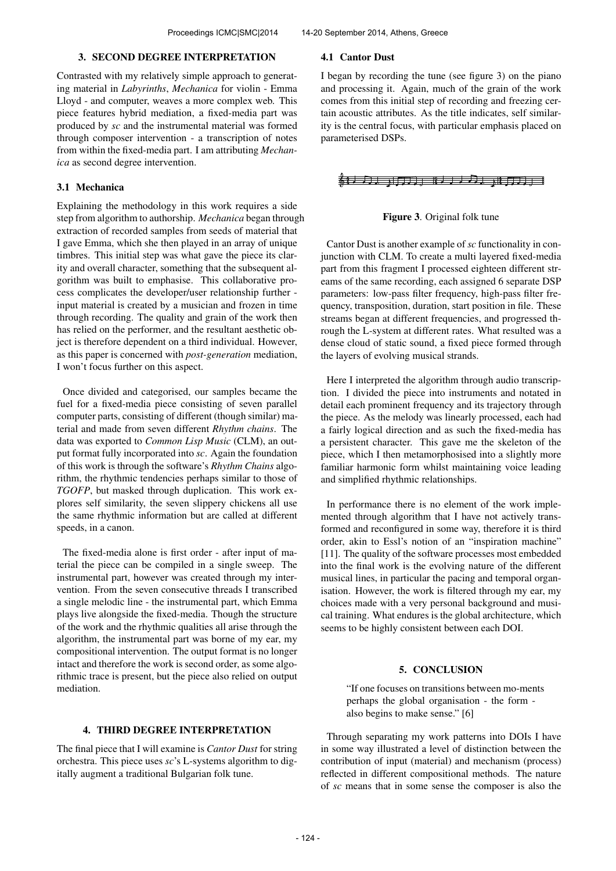## 3. SECOND DEGREE INTERPRETATION

Contrasted with my relatively simple approach to generating material in *Labyrinths*, *Mechanica* for violin - Emma Lloyd - and computer, weaves a more complex web. This piece features hybrid mediation, a fixed-media part was produced by *sc* and the instrumental material was formed through composer intervention - a transcription of notes from within the fixed-media part. I am attributing *Mechanica* as second degree intervention.

#### 3.1 Mechanica

Explaining the methodology in this work requires a side step from algorithm to authorship. *Mechanica* began through extraction of recorded samples from seeds of material that I gave Emma, which she then played in an array of unique timbres. This initial step was what gave the piece its clarity and overall character, something that the subsequent algorithm was built to emphasise. This collaborative process complicates the developer/user relationship further input material is created by a musician and frozen in time through recording. The quality and grain of the work then has relied on the performer, and the resultant aesthetic object is therefore dependent on a third individual. However, as this paper is concerned with *post-generation* mediation, I won't focus further on this aspect.

Once divided and categorised, our samples became the fuel for a fixed-media piece consisting of seven parallel computer parts, consisting of different (though similar) material and made from seven different *Rhythm chains*. The data was exported to *Common Lisp Music* (CLM), an output format fully incorporated into *sc*. Again the foundation of this work is through the software's *Rhythm Chains* algorithm, the rhythmic tendencies perhaps similar to those of *TGOFP*, but masked through duplication. This work explores self similarity, the seven slippery chickens all use the same rhythmic information but are called at different speeds, in a canon.

The fixed-media alone is first order - after input of material the piece can be compiled in a single sweep. The instrumental part, however was created through my intervention. From the seven consecutive threads I transcribed a single melodic line - the instrumental part, which Emma plays live alongside the fixed-media. Though the structure of the work and the rhythmic qualities all arise through the algorithm, the instrumental part was borne of my ear, my compositional intervention. The output format is no longer intact and therefore the work is second order, as some algorithmic trace is present, but the piece also relied on output mediation.

# 4. THIRD DEGREE INTERPRETATION

The final piece that I will examine is *Cantor Dust* for string orchestra. This piece uses *sc*'s L-systems algorithm to digitally augment a traditional Bulgarian folk tune.

#### 4.1 Cantor Dust

I began by recording the tune (see figure 3) on the piano and processing it. Again, much of the grain of the work comes from this initial step of recording and freezing certain acoustic attributes. As the title indicates, self similarity is the central focus, with particular emphasis placed on parameterised DSPs.

# <del>《1)月】、门刀</del>」 10 J J J J <sub>N</sub> J J J J

#### Figure 3. Original folk tune

Cantor Dust is another example of *sc* functionality in conjunction with CLM. To create a multi layered fixed-media part from this fragment I processed eighteen different streams of the same recording, each assigned 6 separate DSP parameters: low-pass filter frequency, high-pass filter frequency, transposition, duration, start position in file. These streams began at different frequencies, and progressed through the L-system at different rates. What resulted was a dense cloud of static sound, a fixed piece formed through the layers of evolving musical strands.

Here I interpreted the algorithm through audio transcription. I divided the piece into instruments and notated in detail each prominent frequency and its trajectory through the piece. As the melody was linearly processed, each had a fairly logical direction and as such the fixed-media has a persistent character. This gave me the skeleton of the piece, which I then metamorphosised into a slightly more familiar harmonic form whilst maintaining voice leading and simplified rhythmic relationships.

In performance there is no element of the work implemented through algorithm that I have not actively transformed and reconfigured in some way, therefore it is third order, akin to Essl's notion of an "inspiration machine" [11]. The quality of the software processes most embedded into the final work is the evolving nature of the different musical lines, in particular the pacing and temporal organisation. However, the work is filtered through my ear, my choices made with a very personal background and musical training. What endures is the global architecture, which seems to be highly consistent between each DOI.

## 5. CONCLUSION

"If one focuses on transitions between mo-ments perhaps the global organisation - the form also begins to make sense." [6]

Through separating my work patterns into DOIs I have in some way illustrated a level of distinction between the contribution of input (material) and mechanism (process) reflected in different compositional methods. The nature of *sc* means that in some sense the composer is also the